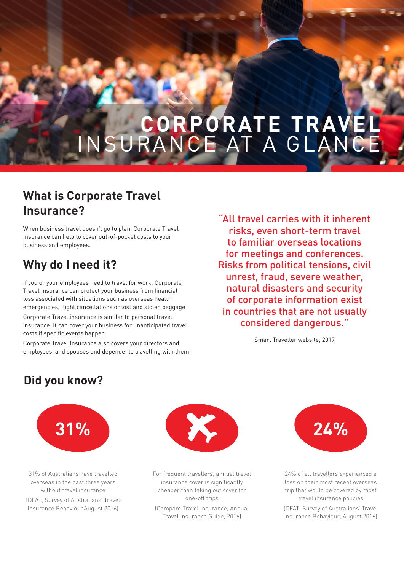# **CORPORATE TRAVEL** INSURANCE AT A GLANCE

### **What is Corporate Travel Insurance?**

When business travel doesn't go to plan, Corporate Travel Insurance can help to cover out-of-pocket costs to your business and employees.

# **Why do I need it?**

If you or your employees need to travel for work. Corporate Travel Insurance can protect your business from financial loss associated with situations such as overseas health emergencies, flight cancellations or lost and stolen baggage

Corporate Travel insurance is similar to personal travel insurance. It can cover your business for unanticipated travel costs if specific events happen.

Corporate Travel Insurance also covers your directors and employees, and spouses and dependents travelling with them.

"All travel carries with it inherent risks, even short-term travel to familiar overseas locations for meetings and conferences. Risks from political tensions, civil unrest, fraud, severe weather, natural disasters and security of corporate information exist in countries that are not usually considered dangerous."

Smart Traveller website, 2017

# **Did you know?**



31% of Australians have travelled overseas in the past three years without travel insurance (DFAT, Survey of Australians' Travel Insurance Behaviour.August 2016)



For frequent travellers, annual travel insurance cover is significantly cheaper than taking out cover for one-off trips

(Compare Travel Insurance, Annual Travel Insurance Guide, 2016)



24% of all travellers experienced a loss on their most recent overseas trip that would be covered by most travel insurance policies

(DFAT, Survey of Australians' Travel Insurance Behaviour, August 2016)